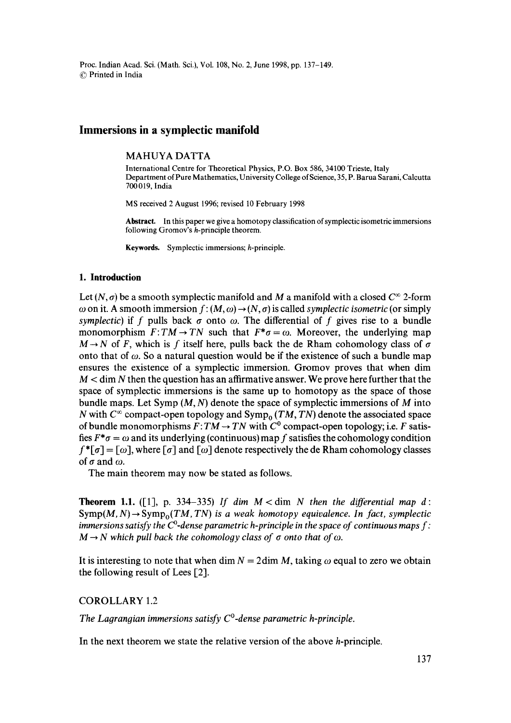Proc. Indian Acad. Sci. (Math. Sci.), Vol. 108, No. 2, June 1998, pp. 137-149. 9 Printed in India

# **Immersions in a symplectic manifold**

#### MAHUYA DATTA

International Centre for Theoretical Physics, P.O. Box 586, 34100 Trieste, Italy Department of Pure Mathematics, University College of Science, 35, P. Barua Sarani, Calcutta **700019,** India

MS received 2 August 1996; revised 10 February 1998

**Abstract.** In this paper we give a homotopy classification of symplectic isometric immersions following Gromov's h-principle theorem.

Keywords. Symplectic immersions; h-principle.

### **1. Introduction**

Let  $(N, \sigma)$  be a smooth symplectic manifold and M a manifold with a closed  $C^{\infty}$  2-form  $\omega$  on it. A smooth immersion  $f: (M, \omega) \to (N, \sigma)$  is called *symplectic isometric* (or simply *symplectic*) if f pulls back  $\sigma$  onto  $\omega$ . The differential of f gives rise to a bundle monomorphism  $F: TM \to TN$  such that  $F^*\sigma = \omega$ . Moreover, the underlying map  $M \rightarrow N$  of F, which is f itself here, pulls back the de Rham cohomology class of  $\sigma$ onto that of  $\omega$ . So a natural question would be if the existence of such a bundle map ensures the existence of a symplectic immersion. Gromov proves that when dim  $M <$  dim N then the question has an affirmative answer. We prove here further that the space of symplectic immersions is the same up to homotopy as the space of those bundle maps. Let Symp  $(M, N)$  denote the space of symplectic immersions of M into N with  $C^{\infty}$  compact-open topology and  $\text{Symp}_{0}$  (TM, TN) denote the associated space of bundle monomorphisms  $\overline{F}$ :  $\overline{T}M \rightarrow \overline{T}N$  with  $\overline{C}^0$  compact-open topology; i.e. F satisfies  $F^*\sigma = \omega$  and its underlying (continuous) map f satisfies the cohomology condition  $f^*[\sigma] = [\omega]$ , where  $[\sigma]$  and  $[\omega]$  denote respectively the de Rham cohomology classes of  $\sigma$  and  $\omega$ .

The main theorem may now be stated as follows.

**Theorem 1.1.** ([1], p. 334–335) If dim  $M <$  dim N then the differential map d:  $Symp(M, N) \rightarrow Symp<sub>0</sub>(TM, TN)$  is a weak homotopy equivalence. In fact, symplectic *immersions satisfy the C*<sup>0</sup>-dense parametric h-principle in the space of continuous maps  $f$ :  $M \rightarrow N$  which pull back the cohomology class of  $\sigma$  onto that of  $\omega$ .

It is interesting to note that when dim  $N = 2$ dim M, taking  $\omega$  equal to zero we obtain the following result of Lees [2].

COROLLARY 1.2

The Lagrangian immersions satisfy  $C^0$ -dense parametric h-principle.

In the next theorem we state the relative version of the above h-principle.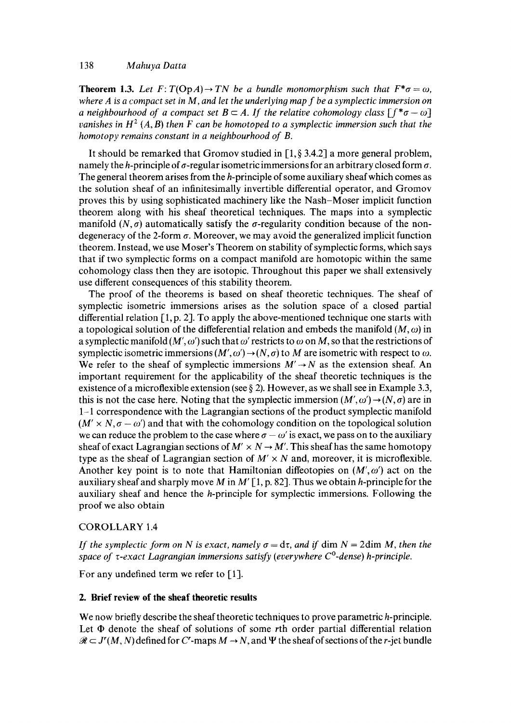# 138 *Mahuya Datta*

**Theorem 1.3.** Let  $F: T(\text{Op}(A)) \to TN$  be a bundle monomorphism such that  $F^* \sigma = \omega$ , *where A is a compact set in M, and let the underlying map f be a symplectic immersion on a neighbourhood of a compact set B*  $\subset$  *A. If the relative cohomology class*  $[f^* \sigma - \omega]$ *vanishes in H<sup>2</sup> (A, B) then F can be homotoped to a symplectic immersion such that the homotopy remains constant in a neighbourhood of B.* 

It should be remarked that Gromov studied in  $[1, \S 3.4.2]$  a more general problem, namely the h-principle of  $\sigma$ -regular isometric immersions for an arbitrary closed form  $\sigma$ . The general theorem arises from the *h*-principle of some auxiliary sheaf which comes as the solution sheaf of an infinitesimally invertible differential operator, and Gromov proves this by using sophisticated machinery like the Nash-Moser implicit function theorem along with his sheaf theoretical techniques. The maps into a symplectic manifold  $(N, \sigma)$  automatically satisfy the  $\sigma$ -regularity condition because of the nondegeneracy of the 2-form  $\sigma$ . Moreover, we may avoid the generalized implicit function theorem. Instead, we use Moser's Theorem on stability of symplectic forms, which says that if two symplectic forms on a compact manifold are homotopic within the same cohomology class then they are isotopic. Throughout this paper we shall extensively use different consequences of this stability theorem.

The proof of the theorems is based on sheaf theoretic techniques. The sheaf of symplectic isometric immersions arises as the solution space of a closed partial differential relation  $[1, p, 2]$ . To apply the above-mentioned technique one starts with a topological solution of the differential relation and embeds the manifold  $(M, \omega)$  in a symplectic manifold  $(M', \omega')$  such that  $\omega'$  restricts to  $\omega$  on M, so that the restrictions of symplectic isometric immersions  $(M', \omega') \to (N, \sigma)$  to M are isometric with respect to  $\omega$ . We refer to the sheaf of symplectic immersions  $M' \rightarrow N$  as the extension sheaf. An important requirement for the applicability of the sheaf theoretic techniques is the existence of a microflexible extension (see  $\S 2$ ). However, as we shall see in Example 3.3, this is not the case here. Noting that the symplectic immersion  $(M', \omega') \rightarrow (N, \sigma)$  are in **1-1** correspondence with the Lagrangian sections of the product symplectic manifold  $(M' \times N, \sigma - \omega')$  and that with the cohomology condition on the topological solution we can reduce the problem to the case where  $\sigma - \omega'$  is exact, we pass on to the auxiliary sheaf of exact Lagrangian sections of  $M' \times N \rightarrow M'$ . This sheaf has the same homotopy type as the sheaf of Lagrangian section of  $M' \times N$  and, moreover, it is microflexible. Another key point is to note that Hamiltonian diffeotopies on  $(M', \omega')$  act on the auxiliary sheaf and sharply move M in M'  $[1, p. 82]$ . Thus we obtain h-principle for the auxiliary sheaf and hence the h-principle for symplectic immersions. Following the proof we also obtain

# COROLLARY 1.4

*If the symplectic form on N is exact, namely*  $\sigma = d\tau$ *, and if dim N = 2dim M, then the space of*  $\tau$ *-exact Lagrangian immersions satisfy (everywhere*  $C^0$ *-dense) h-principle.* 

For any undefined term we refer to [1].

# **2. Brief review of the sheaf theoretic results**

We now briefly describe the sheaf theoretic techniques to prove parametric h-principle. Let  $\Phi$  denote the sheaf of solutions of some rth order partial differential relation  $\mathcal{R} \subset J^r(M, N)$  defined for C<sup>r</sup>-maps  $M \to N$ , and  $\Psi$  the sheaf of sections of the r-jet bundle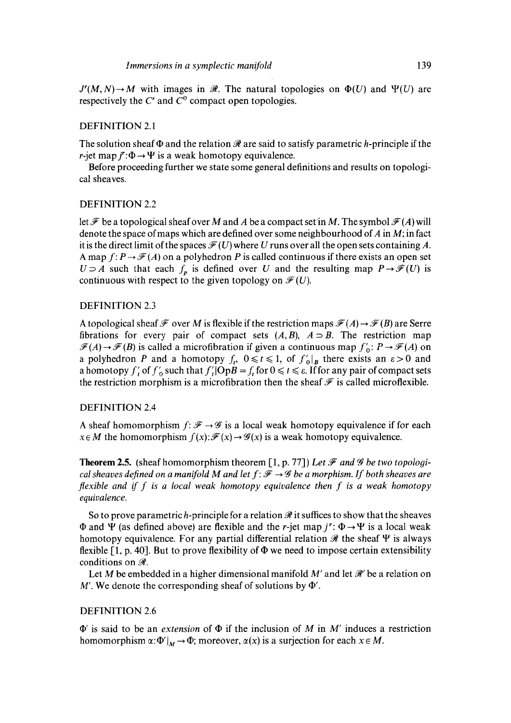$J'(M,N) \to M$  with images in  $\mathcal{R}$ . The natural topologies on  $\Phi(U)$  and  $\Psi(U)$  are respectively the  $C<sup>r</sup>$  and  $C<sup>0</sup>$  compact open topologies.

## DEFINITION 2.1

The solution sheaf  $\Phi$  and the relation  $\mathcal R$  are said to satisfy parametric h-principle if the r-jet map  $\ddot{r}$ : $\Phi \rightarrow \Psi$  is a weak homotopy equivalence.

Before proceeding further we state some general definitions and results on topological sheaves.

## DEFINITION 2.2

let  $\mathcal F$  be a topological sheaf over M and A be a compact set in M. The symbol  $\mathcal F(A)$  will denote the space of maps which are defined over some neighbourhood of  $A$  in  $M$ ; in fact it is the direct limit of the spaces  $\mathcal{F}(U)$  where U runs over all the open sets containing A. A map  $f: P \to \mathscr{F}(A)$  on a polyhedron P is called continuous if there exists an open set  $U \supseteq A$  such that each  $f_p$  is defined over U and the resulting map  $P \rightarrow \mathscr{F}(U)$  is continuous with respect to the given topology on  $\mathcal{F}(U)$ .

### DEFINITION 2.3

A topological sheaf  $\mathcal F$  over M is flexible if the restriction maps  $\mathcal F(A) \to \mathcal F(B)$  are Serre fibrations for every pair of compact sets  $(A, B)$ ,  $A \supset B$ . The restriction map  $\mathcal{F}(A) \rightarrow \mathcal{F}(B)$  is called a microfibration if given a continuous map  $f'_0$ :  $P \rightarrow \mathcal{F}(A)$  on a polyhedron P and a homotopy  $f_t$ ,  $0 \le t \le 1$ , of  $f'_0|_B$  there exists an  $\varepsilon > 0$  and a homotopy f', of  $f'_{0}$  such that  $f'_{0}(OpB = f_{i}$  for  $0 \le t \le \varepsilon$ . If for any pair of compact sets the restriction morphism is a microfibration then the sheaf  $\mathcal F$  is called microflexible.

## DEFINITION 2.4

A sheaf homomorphism  $f: \mathcal{F} \rightarrow \mathcal{G}$  is a local weak homotopy equivalence if for each  $x \in M$  the homomorphism  $f(x): \mathcal{F}(x) \to \mathcal{G}(x)$  is a weak homotopy equivalence.

**Theorem 2.5.** (sheaf homomorphism theorem [1, p. 77]) Let  $\mathcal{F}$  and  $\mathcal{G}$  be two topologi*cal sheaves defined on a manifold M and let*  $f: \mathcal{F} \rightarrow \mathcal{G}$  *be a morphism. If both sheaves are flexible and if f is a local weak homotopy equivalence then f is a weak homotopy equivalence.* 

So to prove parametric h-principle for a relation  $\Re$  it suffices to show that the sheaves  $\Phi$  and  $\Psi$  (as defined above) are flexible and the r-jet map  $j^r: \Phi \rightarrow \Psi$  is a local weak homotopy equivalence. For any partial differential relation  $\mathcal{R}$  the sheaf  $\Psi$  is always flexible  $[1, p. 40]$ . But to prove flexibility of  $\Phi$  we need to impose certain extensibility conditions on  $\mathcal{R}$ .

Let M be embedded in a higher dimensional manifold M' and let  $\mathcal{R}'$  be a relation on M'. We denote the corresponding sheaf of solutions by  $\Phi'$ .

# DEFINITION 2.6

 $\Phi'$  is said to be an *extension* of  $\Phi$  if the inclusion of M in M' induces a restriction homomorphism  $\alpha: \Phi'|_M \to \Phi$ ; moreover,  $\alpha(x)$  is a surjection for each  $x \in M$ .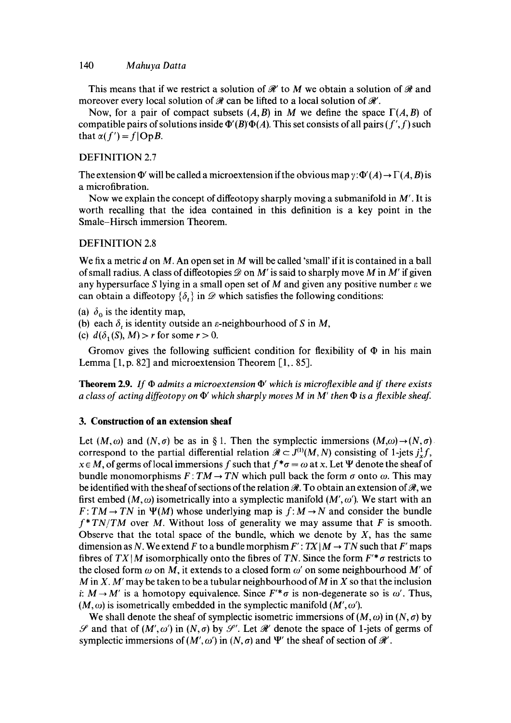### 140 *M ahuya Datta*

This means that if we restrict a solution of  $\mathcal{H}'$  to M we obtain a solution of  $\mathcal{H}$  and moreover every local solution of  $\mathcal R$  can be lifted to a local solution of  $\mathcal R'$ .

Now, for a pair of compact subsets  $(A, B)$  in M we define the space  $\Gamma(A, B)$  of compatible pairs of solutions inside  $\Phi'(B)\Phi(A)$ . This set consists of all pairs  $(f',f)$  such that  $\alpha(f')=f|OpB$ .

## DEFINITION 2.7

The extension  $\Phi'$  will be called a microextension if the obvious map  $\gamma: \Phi'(A) \to \Gamma(A, B)$  is a microfibration.

Now we explain the concept of diffeotopy sharply moving a submanifold in  $M'$ . It is worth recalling that the idea contained in this definition is a key point in the Smale-Hirsch immersion Theorem.

# DEFINITION 2.8

We fix a metric d on M. An open set in M will be called 'small' if it is contained in a ball of small radius. A class of diffeotopies  $\mathscr D$  on M' is said to sharply move M in M' if given any hypersurface S lying in a small open set of M and given any positive number  $\varepsilon$  we can obtain a diffeotopy  $\{\delta_i\}$  in  $\mathscr D$  which satisfies the following conditions:

- (a)  $\delta_0$  is the identity map,
- (b) each  $\delta$ , is identity outside an  $\varepsilon$ -neighbourhood of S in M,
- (c)  $d(\delta_1(S), M) > r$  for some  $r > 0$ .

Gromov gives the following sufficient condition for flexibility of  $\Phi$  in his main Lemma [1, p. 82] and microextension Theorem [1, 85].

**Theorem 2.9.** If  $\Phi$  admits a microextension  $\Phi'$  which is microflexible and if there exists *a class of acting diffeotopy on*  $\Phi'$  which sharply moves M in M' then  $\Phi$  is a flexible sheaf.

### **3. Construction of an extension sheaf**

Let  $(M, \omega)$  and  $(N, \sigma)$  be as in § 1. Then the symplectic immersions  $(M, \omega) \rightarrow (N, \sigma)$ . correspond to the partial differential relation  $\mathcal{R} \subset J^{(1)}(M, N)$  consisting of 1-jets  $j^1_{\star}f$ ,  $x \in M$ , of germs of local immersions f such that  $f^* \sigma = \omega$  at x. Let  $\Psi$  denote the sheaf of bundle monomorphisms  $F: TM \rightarrow TN$  which pull back the form  $\sigma$  onto  $\omega$ . This may be identified with the sheaf of sections of the relation  $\mathcal{R}$ . To obtain an extension of  $\mathcal{R}$ , we first embed (M,  $\omega$ ) isometrically into a symplectic manifold (M',  $\omega'$ ). We start with an  $F: TM \rightarrow TN$  in  $\Psi(M)$  whose underlying map is  $f: M \rightarrow N$  and consider the bundle  $f^*TN/TM$  over M. Without loss of generality we may assume that F is smooth. Observe that the total space of the bundle, which we denote by  $X$ , has the same dimension as N. We extend F to a bundle morphism  $F' : TX|M \to TN$  such that F' maps fibres of  $TX|M$  isomorphically onto the fibres of TN. Since the form  $F^*\sigma$  restricts to the closed form  $\omega$  on M, it extends to a closed form  $\omega'$  on some neighbourhood M' of  $M$  in X. M' may be taken to be a tubular neighbourhood of M in X so that the inclusion i:  $M \rightarrow M'$  is a homotopy equivalence. Since  $F^* \sigma$  is non-degenerate so is  $\omega'$ . Thus,  $(M, \omega)$  is isometrically embedded in the symplectic manifold  $(M', \omega')$ .

We shall denote the sheaf of symplectic isometric immersions of  $(M, \omega)$  in  $(N, \sigma)$  by  $\mathscr S$  and that of  $(M', \omega')$  in  $(N, \sigma)$  by  $\mathscr S'$ . Let  $\mathscr R'$  denote the space of 1-jets of germs of symplectic immersions of  $(M', \omega')$  in  $(N, \sigma)$  and  $\Psi'$  the sheaf of section of  $\mathcal{R}'$ .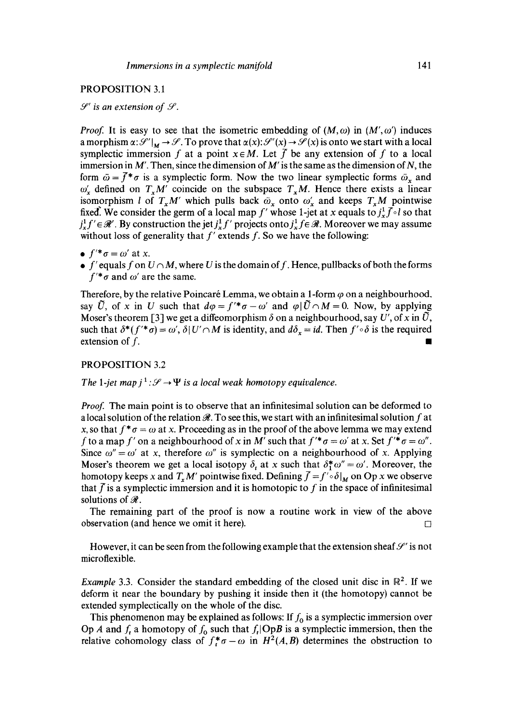#### PROPOSITION 3.1

# $\mathscr{S}'$  is an extension of  $\mathscr{S}$ .

*Proof.* It is easy to see that the isometric embedding of  $(M, \omega)$  in  $(M', \omega')$  induces a morphism  $\alpha: {\mathcal{S}}'|_M \to {\mathcal{S}}$ . To prove that  $\alpha(x): {\mathcal{S}}'(x) \to {\mathcal{S}}(x)$  is onto we start with a local symplectic immersion f at a point  $x \in M$ . Let f be any extension of f to a local immersion in  $M'$ . Then, since the dimension of  $M'$  is the same as the dimension of  $N$ , the form  $\bar{\omega} = \bar{f}^* \sigma$  is a symplectic form. Now the two linear symplectic forms  $\bar{\omega}_x$  and  $\omega'_r$  defined on  $T_rM'$  coincide on the subspace  $T_rM$ . Hence there exists a linear isomorphism *l* of  $T_xM'$  which pulls back  $\bar{\omega}_x$  onto  $\omega'_x$  and keeps  $T_xM$  pointwise fixed. We consider the germ of a local map f' whose 1-jet at x equals to  $j_x^1 \bar{f} \circ l$  so that  $j_r^1 f' \in \mathcal{R}'$ . By construction the jet  $j_r^1 f'$  projects onto  $j_r^1 f \in \mathcal{R}$ . Moreover we may assume without loss of generality that  $f'$  extends  $f$ . So we have the following:

- $\bullet$   $f'^* \sigma = \omega'$  at *x*.
- $\bullet$  f' equals f on  $U \cap M$ , where U is the domain of f. Hence, pullbacks of both the forms  $f''\sigma$  and  $\omega'$  are the same.

Therefore, by the relative Poincaré Lemma, we obtain a 1-form  $\varphi$  on a neighbourhood. say  $\tilde{U}$ , of x in U such that  $d\varphi = f'^* \sigma - \omega'$  and  $\varphi | \tilde{U} \cap M = 0$ . Now, by applying Moser's theorem [3] we get a diffeomorphism  $\delta$  on a neighbourhood, say *U'*, of x in  $\tilde{U}$ , such that  $\delta^*(f'^*\sigma) = \omega'$ ,  $\delta|U'\cap M$  is identity, and  $d\delta_x = id$ . Then  $f'\circ \delta$  is the required extension of  $f$ .

## PROPOSITION 3.2

#### *The 1-jet map*  $i^1:\mathcal{S}\rightarrow \Psi$  *is a local weak homotopy equivalence.*

*Proof.* The main point is to observe that an infinitesimal solution can be deformed to a local solution of the relation  $\mathcal{R}$ . To see this, we start with an infinitesimal solution f at x, so that  $f^* \sigma = \omega$  at x. Proceeding as in the proof of the above lemma we may extend f to a map f' on a neighbourhood of x in M' such that  $f'^* \sigma = \omega'$  at x. Set  $f'^* \sigma = \omega''$ . Since  $\omega'' = \omega'$  at x, therefore  $\omega''$  is symplectic on a neighbourhood of x. Applying Moser's theorem we get a local isotopy  $\delta_t$  at x such that  $\delta_1^* \omega'' = \omega'$ . Moreover, the homotopy keeps x and  $T_x M'$  pointwise fixed. Defining  $\overline{f} = f' \circ \delta \vert_M$  on Op x we observe that  $\overline{f}$  is a symplectic immersion and it is homotopic to f in the space of infinitesimal solutions of  $\mathcal{R}$ .

The remaining part of the proof is now a routine work in view of the above observation (and hence we omit it here).  $\Box$ 

However, it can be seen from the following example that the extension sheaf  $\mathcal{S}'$  is not microflexible.

*Example* 3.3. Consider the standard embedding of the closed unit disc in  $\mathbb{R}^2$ . If we deform it near the boundary by pushing it inside then it (the homotopy) cannot be extended symplectically on the whole of the disc.

This phenomenon may be explained as follows: If  $f_0$  is a symplectic immersion over Op A and  $f_t$  a homotopy of  $f_0$  such that  $f_t$ lOpB is a symplectic immersion, then the relative cohomology class of  $f_t^* \sigma - \omega$  in  $H^2(A, B)$  determines the obstruction to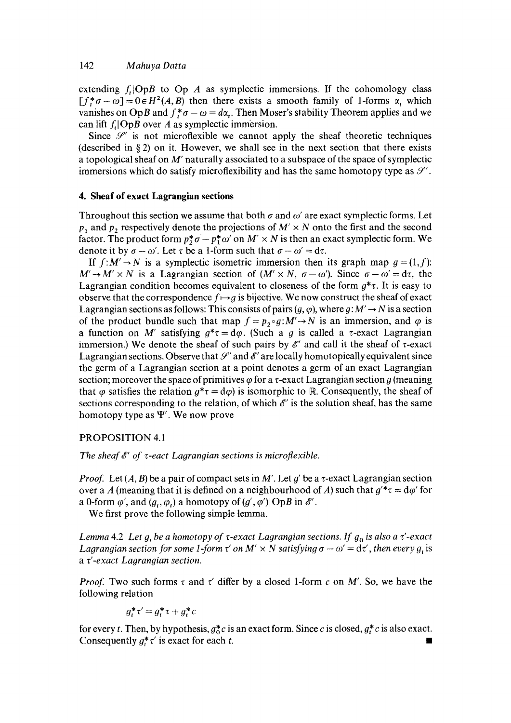extending  $f_i[OpB]$  to  $OpA$  as symplectic immersions. If the cohomology class  $[f_*^* \sigma - \omega] = 0 \in H^2(A, B)$  then there exists a smooth family of 1-forms  $\alpha$ , which vanishes on OpB and  $f^*$ ,  $\sigma - \omega = d\alpha$ . Then Moser's stability Theorem applies and we can lift  $f_t$ |OpB over A as symplectic immersion.

Since  $\mathcal{S}'$  is not microflexible we cannot apply the sheaf theoretic techniques (described in  $\S$ 2) on it. However, we shall see in the next section that there exists a topological sheaf on M' naturally associated to a subspace of the space of symplectic immersions which do satisfy microflexibility and has the same homotopy type as  $\mathcal{S}'$ .

### **4. Sheaf of exact Lagrangian sections**

Throughout this section we assume that both  $\sigma$  and  $\omega'$  are exact symplectic forms. Let  $p_1$  and  $p_2$  respectively denote the projections of  $M' \times N$  onto the first and the second factor. The product form  $p^*_{\mathcal{I}}\sigma - p^*_{\mathcal{I}}\omega'$  on  $M' \times N$  is then an exact symplectic form. We denote it by  $\sigma - \omega'$ . Let  $\tau$  be a 1-form such that  $\sigma - \omega' = d\tau$ .

If  $f:M' \to N$  is a symplectic isometric immersion then its graph map  $q = (1, f)$ :  $M' \rightarrow M' \times N$  is a Lagrangian section of  $(M' \times N, \sigma - \omega')$ . Since  $\sigma - \omega' = d\tau$ , the Lagrangian condition becomes equivalent to closeness of the form  $g^* \tau$ . It is easy to observe that the correspondence  $f \mapsto g$  is bijective. We now construct the sheaf of exact Lagrangian sections as follows: This consists of pairs  $(g, \varphi)$ , where  $g: M' \to N$  is a section of the product bundle such that map  $f = p_2 \circ g: M' \to N$  is an immersion, and  $\varphi$  is a function on M' satisfying  $g^* \tau = d\varphi$ . (Such a g is called a  $\tau$ -exact Lagrangian immersion.) We denote the sheaf of such pairs by  $\mathscr{E}'$  and call it the sheaf of  $\tau$ -exact Lagrangian sections. Observe that  $\mathcal{S}'$  and  $\mathcal{E}'$  are locally homotopically equivalent since the germ of a Lagrangian section at a point denotes a germ of an exact Lagrangian section; moreover the space of primitives  $\varphi$  for a  $\tau$ -exact Lagrangian section g (meaning that  $\varphi$  satisfies the relation  $g^* \tau = d\varphi$  is isomorphic to R. Consequently, the sheaf of sections corresponding to the relation, of which  $\mathscr E'$  is the solution sheaf, has the same homotopy type as  $\Psi'$ . We now prove

## PROPOSITION 4.1

*The sheaf &' of τ-eact Lagrangian sections is microflexible.* 

*Proof.* Let  $(A, B)$  be a pair of compact sets in M'. Let  $q'$  be a  $\tau$ -exact Lagrangian section over a A (meaning that it is defined on a neighbourhood of A) such that  $g'^* \tau = d\varphi'$  for a 0-form  $\varphi'$ , and  $(g_t, \varphi_t)$  a homotopy of  $(g', \varphi')$ ]OpB in  $\mathscr{E}'$ .

We first prove the following simple lemma.

*Lemma* 4.2 *Let g<sub>t</sub>* be a homotopy of  $\tau$ -exact *Lagrangian sections. If g<sub>0</sub> is also a*  $\tau'$ -exact *Lagrangian section for some 1-form*  $\tau'$  *on M'*  $\times$  *N satisfying*  $\sigma - \omega' = d\tau'$ *, then every g<sub>i</sub> is a V-exact Lagrangian section.* 

*Proof.* Two such forms  $\tau$  and  $\tau'$  differ by a closed 1-form c on M'. So, we have the following relation

$$
g_t^* \tau' = g_t^* \tau + g_t^* c
$$

for every t. Then, by hypothesis,  $g_0^*c$  is an exact form. Since c is closed,  $g_t^*c$  is also exact. Consequently  $g_t^* \tau'$  is exact for each t.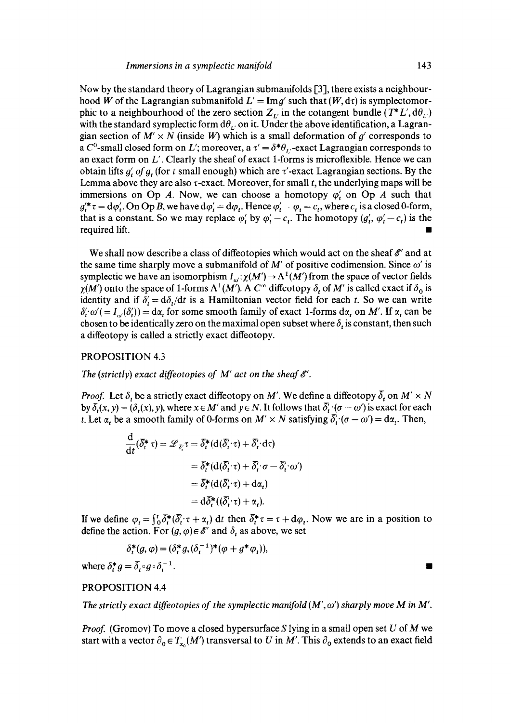Now by the standard theory of Lagrangian submanifolds [3], there exists a neighbourhood W of the Lagrangian submanifold  $L' = \text{Im } q'$  such that  $(W, d\tau)$  is symplectomorphic to a neighbourhood of the zero section  $Z_L$  in the cotangent bundle  $(T^*L', d\theta_L)$ with the standard symplectic form  $d\theta_L$  on it. Under the above identification, a Lagrangian section of  $M' \times N$  (inside W) which is a small deformation of  $g'$  corresponds to a C<sup>o</sup>-small closed form on L'; moreover, a  $\tau' = \delta^* \theta_L$ -exact Lagrangian corresponds to an exact form on  $L'$ . Clearly the sheaf of exact 1-forms is microflexible. Hence we can obtain lifts  $g'$ , *of g*, (for t small enough) which are  $\tau'$ -exact Lagrangian sections. By the Lemma above they are also  $\tau$ -exact. Moreover, for small  $t$ , the underlying maps will be immersions on Op A. Now, we can choose a homotopy  $\varphi'$ , on Op A such that  $g_t'^* \tau = d\varphi_t'.$  On Op B, we have  $d\varphi_t' = d\varphi_t$ . Hence  $\varphi_t' - \varphi_t = c_t$ , where  $c_t$  is a closed 0-form, that is a constant. So we may replace  $\varphi'_t$  by  $\varphi'_t - c_t$ . The homotopy  $(g'_t, \varphi'_t - c_t)$  is the required lift.

We shall now describe a class of diffeotopies which would act on the sheaf  $\mathscr{E}'$  and at the same time sharply move a submanifold of M' of positive codimension. Since  $\omega'$  is symplectic we have an isomorphism  $I_{\omega}$ :  $\chi(M') \to \Lambda^1(M')$  from the space of vector fields  $\chi(M')$  onto the space of 1-forms  $\Lambda^1(M')$ . A  $C^{\infty}$  diffeotopy  $\delta_t$  of M' is called exact if  $\delta_0$  is identity and if  $\delta' = d\delta_t/dt$  is a Hamiltonian vector field for each t. So we can write  $\delta'_t \omega' = I_{\omega}(\delta'_t) = d\alpha_t$  for some smooth family of exact 1-forms  $d\alpha_t$  on M'. If  $\alpha_t$  can be chosen to be identically zero on the maximal open subset where  $\delta$ , is constant, then such a diffeotopy is called a strictly exact diffeotopy.

### PROPOSITION 4.3

The (strictly) exact diffeotopies of  $M'$  act on the sheaf  $\mathscr{E}'$ .

*Proof.* Let  $\delta_t$  be a strictly exact diffeotopy on M'. We define a diffeotopy  $\delta_t$  on M'  $\times$  N by  $\delta_t(x, y) = (\delta_t(x), y)$ , where  $x \in M'$  and  $y \in N$ . It follows that  $\delta_t' \cdot (\sigma - \omega')$  is exact for each t. Let  $\alpha_t$  be a smooth family of 0-forms on  $M' \times N$  satisfying  $\delta_t$   $(\sigma - \omega') = d\alpha_t$ . Then,

$$
\frac{d}{dt}(\delta_t^* \tau) = \mathcal{L}_{\bar{\delta}_t'} \tau = \delta_t^* (d(\bar{\delta}_t' \cdot \tau) + \bar{\delta}_t' \cdot d\tau)
$$
\n
$$
= \delta_t^* (d(\bar{\delta}_t' \cdot \tau) + \bar{\delta}_t' \cdot \sigma - \bar{\delta}_t' \cdot \omega')
$$
\n
$$
= \bar{\delta}_t^* (d(\bar{\delta}_t' \cdot \tau) + d\alpha_t)
$$
\n
$$
= d\bar{\delta}_t^* ((\bar{\delta}_t' \cdot \tau) + \alpha_t).
$$

If we define  $\varphi_t = \int_0^t \delta_t^* (\delta_t \cdot \tau + \alpha_t) dt$  then  $\delta_t^* \tau = \tau + d\varphi_t$ . Now we are in a position to define the action. For  $(g, \varphi) \in \mathscr{E}'$  and  $\delta_t$  as above, we set

$$
\delta_t^*(g, \varphi) = (\delta_t^* g, (\delta_t^{-1})^*(\varphi + g^*\varphi_t)),
$$

where  $\delta_t^* g = \overline{\delta}_t \circ g \circ \delta_t^{-1}$ .

## PROPOSITION 4.4

*The strictly exact diffeotopies of the symplectic manifold*  $(M', \omega')$  *sharply move M in M'.* 

*Proof.* (Gromov) To move a closed hypersurface S lying in a small open set U of M we start with a vector  $\partial_0 \in T_{x_0}(M')$  transversal to U in M'. This  $\partial_0$  extends to an exact field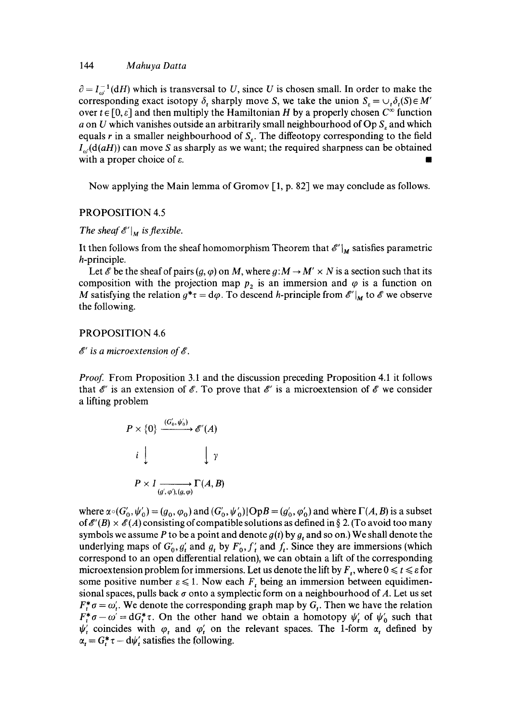### 144 *Mahuya Datta*

 $\partial = I_{\alpha}^{-1}(dH)$  which is transversal to U, since U is chosen small. In order to make the corresponding exact isotopy  $\delta$ , sharply move S, we take the union  $S$ <sub>c</sub> =  $\cup_t \delta_t(S) \in M'$ over  $t \in [0, \varepsilon]$  and then multiply the Hamiltonian H by a properly chosen  $C^{\infty}$  function a on U which vanishes outside an arbitrarily small neighbourhood of  $Op S<sub>r</sub>$  and which equals  $r$  in a smaller neighbourhood of  $S<sub>r</sub>$ . The diffeotopy corresponding to the field  $I_{\alpha}$ (d(*aH*)) can move S as sharply as we want; the required sharpness can be obtained with a proper choice of  $\varepsilon$ .

Now applying the Main lemma of Gromov [1, p. 82] we may conclude as follows.

### PROPOSITION 4.5

*The sheaf*  $\mathscr{E}'|_M$  *is flexible.* 

It then follows from the sheaf homomorphism Theorem that  $\mathscr{E}|_M$  satisfies parametric h-principle.

Let  $\&$  be the sheaf of pairs  $(q, \varphi)$  on M, where  $q: M \to M' \times N$  is a section such that its composition with the projection map  $p<sub>2</sub>$  is an immersion and  $\varphi$  is a function on M satisfying the relation  $g^*z = d\varphi$ . To descend h-principle from  $\mathscr{E}'|_M$  to  $\mathscr{E}$  we observe the following.

### PROPOSITION 4.6

*8' is a microextension of&* 

*Proof.* From Proposition 3.1 and the discussion preceding Proposition 4.1 it follows that  $\mathscr E'$  is an extension of  $\mathscr E$ . To prove that  $\mathscr E'$  is a microextension of  $\mathscr E$  we consider a lifting problem

$$
P \times \{0\} \xrightarrow{(G'_0, \psi'_0)} \mathscr{E}'(A)
$$
\n
$$
i \downarrow \qquad \qquad \downarrow \gamma
$$
\n
$$
P \times I \xrightarrow{(g', \varphi'), (g, \varphi)} \Gamma(A, B)
$$

where  $\alpha \circ (G'_0, \psi'_0) = (g_0, \varphi_0)$  and  $(G'_0, \psi'_0)$ ]  $OpB = (g'_0, \varphi'_0)$  and where  $\Gamma(A, B)$  is a subset of  $\mathscr{E}'(B) \times \mathscr{E}(A)$  consisting of compatible solutions as defined in § 2. (To avoid too many symbols we assume P to be a point and denote  $g(t)$  by  $g_t$  and so on.) We shall denote the underlying maps of  $G'_0$ ,  $g'_t$  and  $g_t$  by  $F'_0$ ,  $f'_t$  and  $f_t$ . Since they are immersions (which correspond to an open differential relation), we can obtain a lift of the corresponding microextension problem for immersions. Let us denote the lift by  $F_t$ , where  $0 \le t \le \varepsilon$  for some positive number  $\varepsilon \leq 1$ . Now each  $F_t$  being an immersion between equidimensional spaces, pulls back  $\sigma$  onto a symplectic form on a neighbourhood of A. Let us set  $F_t^* \sigma = \omega'_t$ . We denote the corresponding graph map by  $G_t$ . Then we have the relation  $F_t^* \sigma - \omega' = dG_t^* \tau$ . On the other hand we obtain a homotopy  $\psi'_t$  of  $\psi'_0$  such that  $\psi'_t$  coincides with  $\varphi_t$  and  $\varphi'_t$  on the relevant spaces. The 1-form  $\alpha_t$  defined by  $\alpha_t = G_t^* \tau - d\psi'_t$  satisfies the following.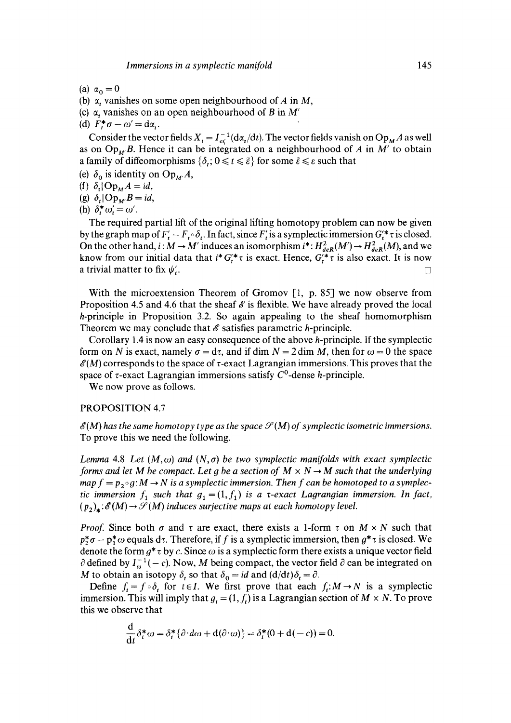- (a)  $\alpha_0 = 0$
- (b)  $\alpha$ , vanishes on some open neighbourhood of A in M,
- (c)  $\alpha$ , vanishes on an open neighbourhood of B in M'
- (d)  $F^*_{t} \sigma \omega' = d\alpha_{t}$ .

Consider the vector fields  $X_t = I_{\omega_t}^{-1} (d\alpha_t/dt)$ . The vector fields vanish on  $Op_M A$  as well as on  $Op_{M}B$ . Hence it can be integrated on a neighbourhood of A in M' to obtain a family of diffeomorphisms  $\{\delta_t; 0 \leq t \leq \tilde{\varepsilon}\}\$ for some  $\tilde{\varepsilon} \leq \varepsilon$  such that

- (e)  $\delta_0$  is identity on  $Op_{M'}A$ ,
- (f)  $\delta_i$  Op<sub>M</sub>A = id,
- (g)  $\delta_i$  | Op<sub>M</sub>, *B* = *id*,
- (h)  $\delta^*_{i} \omega'_{i} = \omega'$ .

The required partial lift of the original lifting homotopy problem can now be given by the graph map of  $F' = F \circ \delta_t$ . In fact, since F' is a symplectic immersion  $G'_i * \tau$  is closed. On the other hand,  $i : M \to M'$  induces an isomorphism  $i^*: H^2_{\text{deR}}(M') \to H^2_{\text{deR}}(M)$ , and we know from our initial data that  $i^* G_t^* \tau$  is exact. Hence,  $G_t^* \tau$  is also exact. It is now a trivial matter to fix  $\psi'$ .

With the microextension Theorem of Gromov [1, p. 85] we now observe from Proposition 4.5 and 4.6 that the sheaf  $\mathscr E$  is flexible. We have already proved the local h-principle in Proposition 3.2. So again appealing to the sheaf homomorphism Theorem we may conclude that  $\mathscr E$  satisfies parametric *h*-principle.

Corollary 1.4 is now an easy consequence of the above h-principle. If the symplectic form on N is exact, namely  $\sigma = d\tau$ , and if dim  $N = 2$  dim M, then for  $\omega = 0$  the space  $\mathscr{E}(M)$  corresponds to the space of  $\tau$ -exact Lagrangian immersions. This proves that the space of  $\tau$ -exact Lagrangian immersions satisfy  $C^0$ -dense *h*-principle.

We now prove as follows.

#### PROPOSITION 4.7

 $\mathscr{E}(M)$  has the same homotopy type as the space  $\mathscr{S}(M)$  of symplectic isometric immersions. To prove this we need the following.

*Lemma* 4.8 *Let*  $(M, \omega)$  *and*  $(N, \sigma)$  *be two symplectic manifolds with exact symplectic forms and let M be compact. Let q be a section of*  $M \times N \rightarrow M$  *such that the underlying*  $map f = p_2 \circ g$ :  $M \rightarrow N$  is a symplectic immersion. Then f can be homotoped to a symplec*tic immersion*  $f_1$  such that  $g_1 = (1, f_1)$  *is a v-exact Lagrangian immersion. In fact,*  $(p_2)_*:~\mathscr{E}(M)\to~\mathscr{S}(M)$  *induces surjective maps at each homotopy level.* 

*Proof.* Since both  $\sigma$  and  $\tau$  are exact, there exists a 1-form  $\tau$  on  $M \times N$  such that  $p_2^*\sigma - p_1^*\omega$  equals d*t*. Therefore, if f is a symplectic immersion, then  $g^*\tau$  is closed. We denote the form  $g^* \tau$  by c. Since  $\omega$  is a symplectic form there exists a unique vector field  $\partial$  defined by  $I_{\omega}^{-1}(-c)$ . Now, M being compact, the vector field  $\partial$  can be integrated on M to obtain an isotopy  $\delta_t$  so that  $\delta_0 = id$  and  $(d/dt)\delta_t = \partial_t$ .

Define  $f_t = f \circ \delta$ , for  $t \in I$ . We first prove that each  $f_t: M \to N$  is a symplectic immersion. This will imply that  $g_t = (1, f_t)$  is a Lagrangian section of  $M \times N$ . To prove this we observe that

$$
\frac{\mathrm{d}}{\mathrm{d}t}\delta_t^*\omega = \delta_t^*\{\partial \cdot d\omega + \mathrm{d}(\partial \cdot \omega)\} = \delta_t^*(0 + \mathrm{d}(-c)) = 0.
$$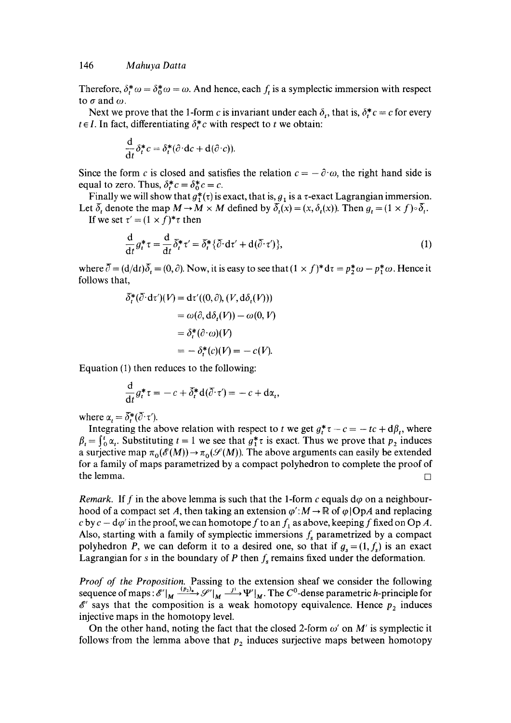Therefore,  $\delta^*$   $\omega = \delta^*$   $\omega = \omega$ . And hence, each f, is a symplectic immersion with respect to  $\sigma$  and  $\omega$ .

Next we prove that the 1-form c is invariant under each  $\delta$ , that is,  $\delta_r^* c = c$  for every  $t \in I$ . In fact, differentiating  $\delta_t^* c$  with respect to t we obtain:

$$
\frac{\mathrm{d}}{\mathrm{d}t}\delta_t^*c = \delta_t^*(\partial \cdot \mathrm{d}c + \mathrm{d}(\partial \cdot c)).
$$

Since the form c is closed and satisfies the relation  $c = -\partial \omega$ , the right hand side is equal to zero. Thus,  $\delta_r^* c = \delta_0^* c = c$ .

Finally we will show that  $g^*(\tau)$  is exact, that is,  $g_i$  is a  $\tau$ -exact Lagrangian immersion. Let  $\overline{\delta}_t$  denote the map  $M \to M \times M$  defined by  $\overline{\delta}_t(x) = (x, \delta_t(x))$ . Then  $g_t = (1 \times f) \circ \overline{\delta}_t$ . If we set  $\tau' = (1 \times f)^* \tau$  then

$$
\frac{\mathrm{d}}{\mathrm{d}t}g_t^*\tau = \frac{\mathrm{d}}{\mathrm{d}t}\bar{\delta}_t^*\tau' = \bar{\delta}_t^*\{\bar{\partial}\cdot\mathrm{d}\tau' + \mathrm{d}(\bar{\partial}\cdot\tau')\},\tag{1}
$$

where  $\overline{\partial} = (d/dt)\overline{\delta}_t = (0, \partial)$ . Now, it is easy to see that  $(1 \times f)^* d\tau = p_2^* \omega - p_1^* \omega$ . Hence it follows that,

$$
\begin{aligned} \delta_t^*(\overline{\partial} \cdot d\tau')(V) &= d\tau'((0,\partial), (V, d\delta_t(V))) \\ &= \omega(\partial, d\delta_t(V)) - \omega(0, V) \\ &= \delta_t^*(\partial \cdot \omega)(V) \\ &= -\delta_t^*(c)(V) = -c(V). \end{aligned}
$$

Equation (1) then reduces to the following:

$$
\frac{\mathrm{d}}{\mathrm{d}t}g_t^*\tau=-c+\delta_t^*\mathrm{d}(\overline{\partial}\cdot\tau')=-c+\mathrm{d}\alpha_t,
$$

where  $\alpha_i = \overline{\delta_i^*} (\overline{\partial} \cdot \tau')$ .

Integrating the above relation with respect to t we get  $g_t^* \tau - c = -tc + d\beta_t$ , where  $\beta_t = \int_0^t \alpha_t$ . Substituting  $t = 1$  we see that  $g_1^* \tau$  is exact. Thus we prove that  $p_2$  induces a surjective map  $\pi_0(\mathscr{E}(M)) \to \pi_0(\mathscr{S}(M))$ . The above arguments can easily be extended for a family of maps parametrized by a compact polyhedron to complete the proof of the lemma.  $\square$ 

*Remark.* If f in the above lemma is such that the 1-form c equals  $d\varphi$  on a neighbourhood of a compact set A, then taking an extension  $\varphi' : M \to \mathbb{R}$  of  $\varphi$  |OpA and replacing c by  $c - d\varphi'$  in the proof, we can homotope f to an  $f_1$  as above, keeping f fixed on Op A. Also, starting with a family of symplectic immersions  $f_s$  parametrized by a compact polyhedron P, we can deform it to a desired one, so that if  $g_s = (1, f_s)$  is an exact Lagrangian for s in the boundary of P then  $f_s$  remains fixed under the deformation.

Proof of the Proposition. Passing to the extension sheaf we consider the following sequence of maps:  $\mathscr{E'}|_M \xrightarrow{(p_2)_*} \mathscr{S'}|_M \xrightarrow{J^1} \Psi'|_M$ . The  $C^0$ -dense parametric h-principle for  $\mathscr{E}'$  says that the composition is a weak homotopy equivalence. Hence  $p_2$  induces injective maps in the homotopy level.

On the other hand, noting the fact that the closed 2-form  $\omega'$  on M' is symplectic it follows from the lemma above that  $p_2$  induces surjective maps between homotopy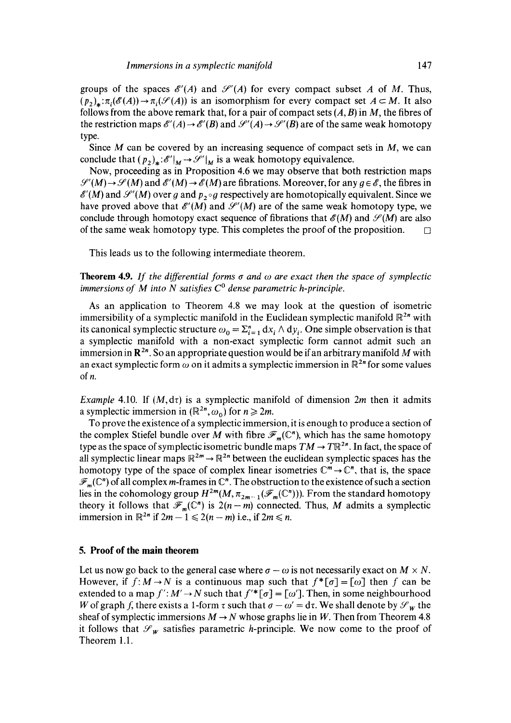groups of the spaces  $\mathscr{E}'(A)$  and  $\mathscr{S}'(A)$  for every compact subset A of M. Thus,  $(p_2)_*: \pi_i(\mathscr{E}(A)) \to \pi_i(\mathscr{S}(A))$  is an isomorphism for every compact set  $A \subset M$ . It also follows from the above remark that, for a pair of compact sets  $(A, B)$  in M, the fibres of the restriction maps  $\mathscr{E}'(A) \to \mathscr{E}'(B)$  and  $\mathscr{S}'(A) \to \mathscr{S}'(B)$  are of the same weak homotopy type.

Since  $M$  can be covered by an increasing sequence of compact sets in  $M$ , we can conclude that  $(p_2)_*: \mathscr{E}'|_M \to \mathscr{S}'|_M$  is a weak homotopy equivalence.

Now, proceeding as in Proposition 4.6 we may observe that both restriction maps  $\mathcal{S}'(M) \rightarrow \mathcal{S}(M)$  and  $\mathcal{E}'(M) \rightarrow \mathcal{E}(M)$  are fibrations. Moreover, for any  $q \in \mathcal{E}$ , the fibres in  $\mathscr{E}'(M)$  and  $\mathscr{S}'(M)$  over g and  $p_2 \circ g$  respectively are homotopically equivalent. Since we have proved above that  $\mathscr{E}'(M)$  and  $\mathscr{S}'(M)$  are of the same weak homotopy type, we conclude through homotopy exact sequence of fibrations that  $\mathscr{E}(M)$  and  $\mathscr{S}(M)$  are also of the same weak homotopy type. This completes the proof of the proposition.  $\Box$ 

This leads us to the following intermediate theorem.

**Theorem 4.9.** If the differential forms  $\sigma$  and  $\omega$  are exact then the space of symplectic *immersions of M into N satisfies*  $C<sup>0</sup>$  dense parametric h-principle.

As an application to Theorem 4.8 we may look at the question of isometric immersibility of a symplectic manifold in the Euclidean symplectic manifold  $\mathbb{R}^{2n}$  with its canonical symplectic structure  $\omega_0 = \sum_{i=1}^n dx_i \wedge dy_i$ . One simple observation is that a symplectic manifold with a non-exact symplectic form cannot admit such an immersion in  $\mathbb{R}^{2n}$ . So an appropriate question would be if an arbitrary manifold M with an exact symplectic form  $\omega$  on it admits a symplectic immersion in  $\mathbb{R}^{2n}$  for some values of *n*.

*Example* 4.10. If  $(M, d\tau)$  is a symplectic manifold of dimension 2m then it admits a symplectic immersion in  $(\mathbb{R}^{2n}, \omega_0)$  for  $n \ge 2m$ .

To prove the existence of a symplectic immersion, it is enough to produce a section of the complex Stiefel bundle over M with fibre  $\mathscr{F}_m(\mathbb{C}^n)$ , which has the same homotopy type as the space of symplectic isometric bundle maps  $TM \to T\mathbb{R}^{2n}$ . In fact, the space of all symplectic linear maps  $\mathbb{R}^{2m} \to \mathbb{R}^{2n}$  between the euclidean symplectic spaces has the homotopy type of the space of complex linear isometries  $\mathbb{C}^m \to \mathbb{C}^n$ , that is, the space  $\mathscr{F}_m(\mathbb{C}^n)$  of all complex m-frames in  $\mathbb{C}^n$ . The obstruction to the existence of such a section lies in the cohomology group  $H^{2m}(M, \pi_{2m-1}(\mathscr{F}_m(\mathbb{C}^n)))$ . From the standard homotopy theory it follows that  $\mathscr{F}_m(\mathbb{C}^n)$  is  $2(n-m)$  connected. Thus, M admits a symplectic immersion in  $\mathbb{R}^{2n}$  if  $2m - 1 \leq 2(n - m)$  i.e., if  $2m \leq n$ .

# **5. Proof of the main theorem**

Let us now go back to the general case where  $\sigma - \omega$  is not necessarily exact on  $M \times N$ . However, if  $f: M \to N$  is a continuous map such that  $f^*[\sigma] = [\omega]$  then f can be extended to a map  $f': M' \to N$  such that  $f'^*[{\sigma}] = [{\omega}']$ . Then, in some neighbourhood W of graph f, there exists a 1-form  $\tau$  such that  $\sigma - \omega' = d\tau$ . We shall denote by  $\mathscr{S}_w$  the sheaf of symplectic immersions  $M \rightarrow N$  whose graphs lie in W. Then from Theorem 4.8 it follows that  $\mathcal{S}_{w}$  satisfies parametric *h*-principle. We now come to the proof of Theorem 1.1.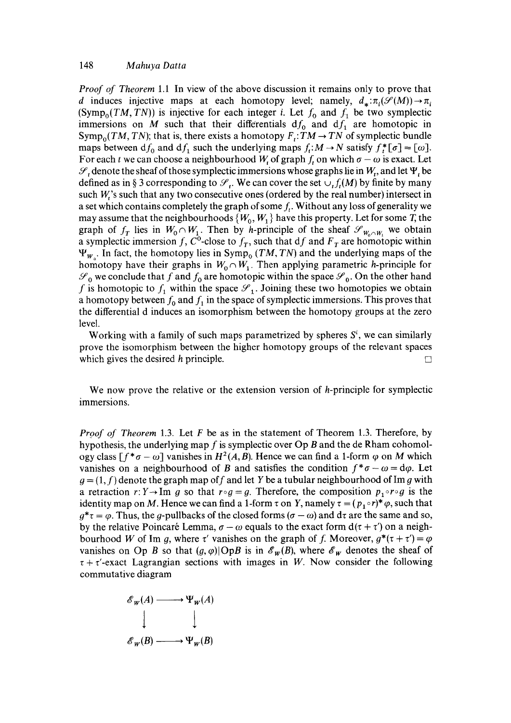*Proof of Theorem* 1.1 In view of the above discussion it remains only to prove that d induces injective maps at each homotopy level; namely,  $d_*: \pi_i(\mathcal{S}(M)) \to \pi_i$ (Symp<sub>o</sub>(TM, TN)) is injective for each integer i. Let  $f_0$  and  $f_1$  be two symplectic immersions on M such that their differentials  $df_0$  and  $df_1$  are homotopic in  $Symp<sub>o</sub>(TM, TN)$ ; that is, there exists a homotopy  $F_t: TM \to TN$  of symplectic bundle maps between  $df_0$  and  $df_1$  such the underlying maps  $f_t: M \to N$  satisfy  $f_t^*[\sigma] = [\omega]$ . For each t we can choose a neighbourhood  $W_t$  of graph  $f_t$  on which  $\sigma - \omega$  is exact. Let  $\mathcal{S}_t$  denote the sheaf of those symplectic immersions whose graphs lie in  $W_t$ , and let  $\Psi_t$  be defined as in § 3 corresponding to  $\mathcal{S}_t$ . We can cover the set  $\cup_t f_t(M)$  by finite by many such  $W$ 's such that any two consecutive ones (ordered by the real number) intersect in a set which contains completely the graph of some  $f_t$ . Without any loss of generality we may assume that the neighbourhoods  $\{W_0, W_1\}$  have this property. Let for some T, the graph of  $f_T$  lies in  $W_0 \cap W_1$ . Then by *h*-principle of the sheaf  $\mathscr{S}_{W_0 \cap W_1}$  we obtain a symplectic immersion f, C<sup>o</sup>-close to  $f<sub>T</sub>$ , such that df and  $F<sub>T</sub>$  are homotopic within  $\Psi_{w}$ . In fact, the homotopy lies in Symp<sub>o</sub> *(TM, TN)* and the underlying maps of the homotopy have their graphs in  $W_0 \cap W_1$ . Then applying parametric *h*-principle for  $\mathcal{S}_0$  we conclude that f and  $f_0$  are homotopic within the space  $\mathcal{S}_0$ . On the other hand f is homotopic to  $f_1$  within the space  $\mathscr{S}_1$ . Joining these two homotopies we obtain a homotopy between  $f_0$  and  $f_1$  in the space of symplectic immersions. This proves that the differential d induces an isomorphism between the homotopy groups at the zero level.

Working with a family of such maps parametrized by spheres  $S<sup>i</sup>$ , we can similarly prove the isomorphism between the higher homotopy groups of the relevant spaces which gives the desired h principle.  $\Box$ 

We now prove the relative or the extension version of h-principle for symplectic immersions.

*Proof of Theorem* 1.3. Let F be as in the statement of Theorem 1.3. Therefore, by hypothesis, the underlying map f is symplectic over  $Op B$  and the de Rham cohomology class  $[f^* \sigma - \omega]$  vanishes in  $H^2(A, B)$ . Hence we can find a 1-form  $\varphi$  on M which vanishes on a neighbourhood of B and satisfies the condition  $f^*\sigma - \omega = d\varphi$ . Let  $g = (1, f)$  denote the graph map of f and let Y be a tubular neighbourhood of Im g with a retraction  $r: Y \to \text{Im } g$  so that  $r \circ g = g$ . Therefore, the composition  $p_1 \circ r \circ g$  is the identity map on M. Hence we can find a 1-form  $\tau$  on Y, namely  $\tau = (p_1 \circ r)^* \varphi$ , such that  $q^* \tau = \varphi$ . Thus, the q-pullbacks of the closed forms  $(\sigma - \omega)$  and d $\tau$  are the same and so, by the relative Poincaré Lemma,  $\sigma - \omega$  equals to the exact form  $d(\tau + \tau')$  on a neighbourhood W of Im g, where  $\tau'$  vanishes on the graph of f. Moreover,  $g^*(\tau + \tau') = \varphi$ vanishes on Op B so that  $(g, \varphi)$ |OpB is in  $\mathscr{E}_w(B)$ , where  $\mathscr{E}_w$  denotes the sheaf of  $\tau + \tau'$ -exact Lagrangian sections with images in W. Now consider the following commutative diagram